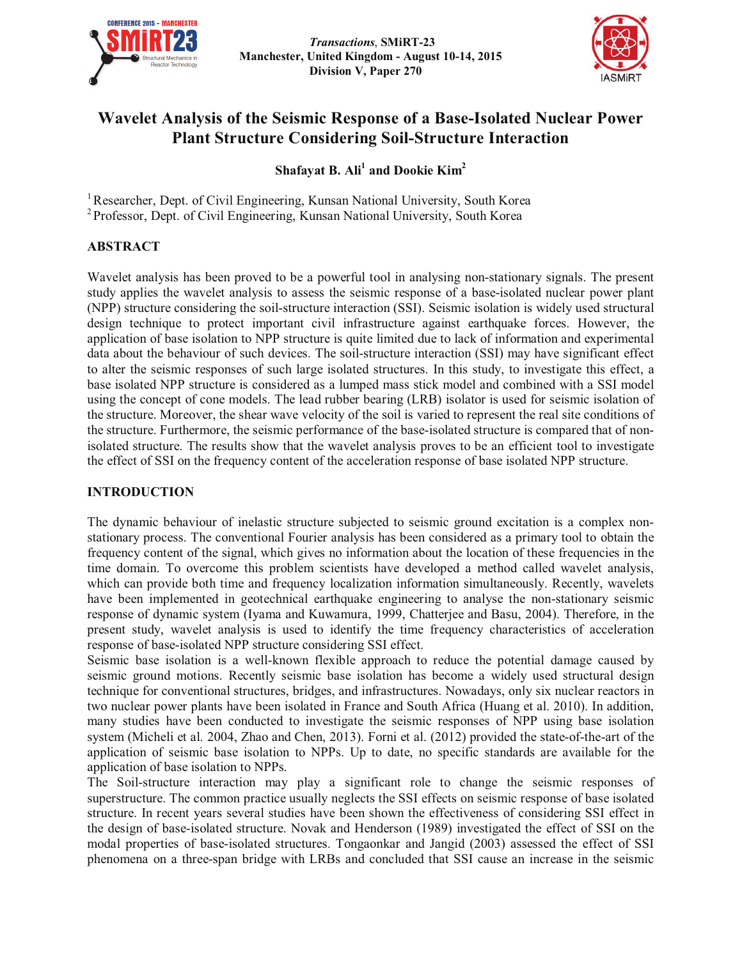



# **Wavelet Analysis of the Seismic Response of a Base-Isolated Nuclear Power Plant Structure Considering Soil-Structure Interaction**

**Shafayat B. Ali<sup>1</sup> and Dookie Kim<sup>2</sup>**

<sup>1</sup> Researcher, Dept. of Civil Engineering, Kunsan National University, South Korea <sup>2</sup> Professor, Dept. of Civil Engineering, Kunsan National University, South Korea

# **ABSTRACT**

Wavelet analysis has been proved to be a powerful tool in analysing non-stationary signals. The present study applies the wavelet analysis to assess the seismic response of a base-isolated nuclear power plant (NPP) structure considering the soil-structure interaction (SSI). Seismic isolation is widely used structural design technique to protect important civil infrastructure against earthquake forces. However, the application of base isolation to NPP structure is quite limited due to lack of information and experimental data about the behaviour of such devices. The soil-structure interaction (SSI) may have significant effect to alter the seismic responses of such large isolated structures. In this study, to investigate this effect, a base isolated NPP structure is considered as a lumped mass stick model and combined with a SSI model using the concept of cone models. The lead rubber bearing (LRB) isolator is used for seismic isolation of the structure. Moreover, the shear wave velocity of the soil is varied to represent the real site conditions of the structure. Furthermore, the seismic performance of the base-isolated structure is compared that of nonisolated structure. The results show that the wavelet analysis proves to be an efficient tool to investigate the effect of SSI on the frequency content of the acceleration response of base isolated NPP structure.

# **INTRODUCTION**

The dynamic behaviour of inelastic structure subjected to seismic ground excitation is a complex nonstationary process. The conventional Fourier analysis has been considered as a primary tool to obtain the frequency content of the signal, which gives no information about the location of these frequencies in the time domain. To overcome this problem scientists have developed a method called wavelet analysis, which can provide both time and frequency localization information simultaneously. Recently, wavelets have been implemented in geotechnical earthquake engineering to analyse the non-stationary seismic response of dynamic system (Iyama and Kuwamura, 1999, Chatterjee and Basu, 2004). Therefore, in the present study, wavelet analysis is used to identify the time frequency characteristics of acceleration response of base-isolated NPP structure considering SSI effect.

Seismic base isolation is a well-known flexible approach to reduce the potential damage caused by seismic ground motions. Recently seismic base isolation has become a widely used structural design technique for conventional structures, bridges, and infrastructures. Nowadays, only six nuclear reactors in two nuclear power plants have been isolated in France and South Africa (Huang et al. 2010). In addition, many studies have been conducted to investigate the seismic responses of NPP using base isolation system (Micheli et al. 2004, Zhao and Chen, 2013). Forni et al. (2012) provided the state-of-the-art of the application of seismic base isolation to NPPs. Up to date, no specific standards are available for the application of base isolation to NPPs.

The Soil-structure interaction may play a significant role to change the seismic responses of superstructure. The common practice usually neglects the SSI effects on seismic response of base isolated structure. In recent years several studies have been shown the effectiveness of considering SSI effect in the design of base-isolated structure. Novak and Henderson (1989) investigated the effect of SSI on the modal properties of base-isolated structures. Tongaonkar and Jangid (2003) assessed the effect of SSI phenomena on a three-span bridge with LRBs and concluded that SSI cause an increase in the seismic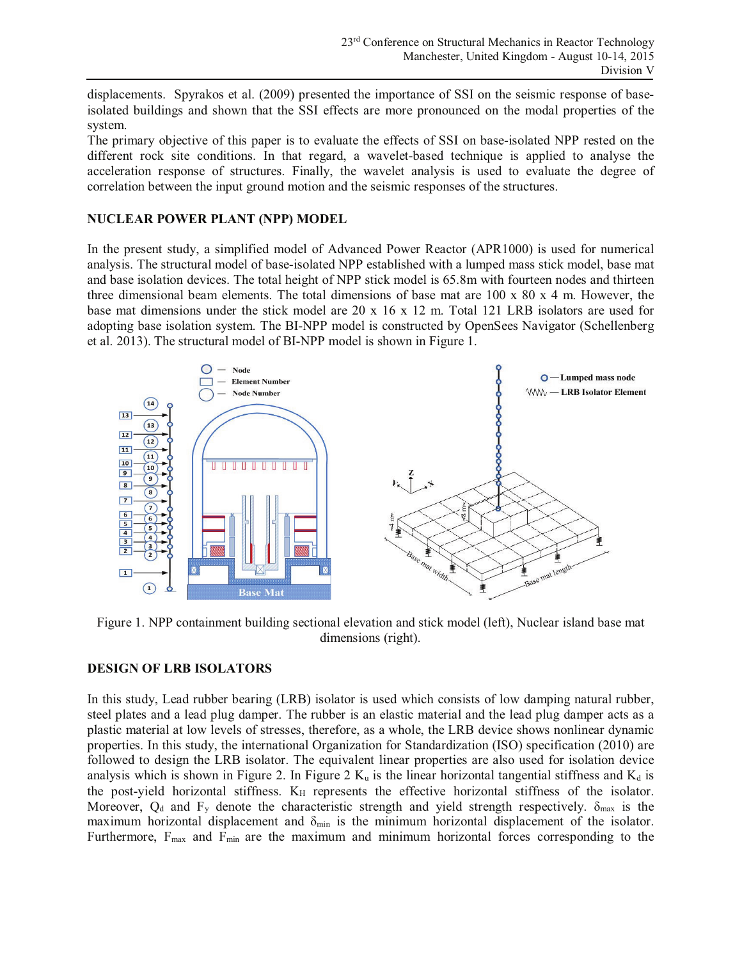displacements. Spyrakos et al. (2009) presented the importance of SSI on the seismic response of baseisolated buildings and shown that the SSI effects are more pronounced on the modal properties of the system.

The primary objective of this paper is to evaluate the effects of SSI on base-isolated NPP rested on the different rock site conditions. In that regard, a wavelet-based technique is applied to analyse the acceleration response of structures. Finally, the wavelet analysis is used to evaluate the degree of correlation between the input ground motion and the seismic responses of the structures.

# **NUCLEAR POWER PLANT (NPP) MODEL**

In the present study, a simplified model of Advanced Power Reactor (APR1000) is used for numerical analysis. The structural model of base-isolated NPP established with a lumped mass stick model, base mat and base isolation devices. The total height of NPP stick model is 65.8m with fourteen nodes and thirteen three dimensional beam elements. The total dimensions of base mat are 100 x 80 x 4 m. However, the base mat dimensions under the stick model are 20 x 16 x 12 m. Total 121 LRB isolators are used for adopting base isolation system. The BI-NPP model is constructed by OpenSees Navigator (Schellenberg et al. 2013). The structural model of BI-NPP model is shown in Figure 1.



Figure 1. NPP containment building sectional elevation and stick model (left), Nuclear island base mat dimensions (right).

# **DESIGN OF LRB ISOLATORS**

In this study, Lead rubber bearing (LRB) isolator is used which consists of low damping natural rubber, steel plates and a lead plug damper. The rubber is an elastic material and the lead plug damper acts as a plastic material at low levels of stresses, therefore, as a whole, the LRB device shows nonlinear dynamic properties. In this study, the international Organization for Standardization (ISO) specification (2010) are followed to design the LRB isolator. The equivalent linear properties are also used for isolation device analysis which is shown in Figure 2. In Figure 2  $K_u$  is the linear horizontal tangential stiffness and  $K_d$  is the post-yield horizontal stiffness. K<sub>H</sub> represents the effective horizontal stiffness of the isolator. Moreover,  $Q_d$  and  $F_y$  denote the characteristic strength and yield strength respectively.  $\delta_{\text{max}}$  is the maximum horizontal displacement and  $\delta_{\min}$  is the minimum horizontal displacement of the isolator. Furthermore, F<sub>max</sub> and F<sub>min</sub> are the maximum and minimum horizontal forces corresponding to the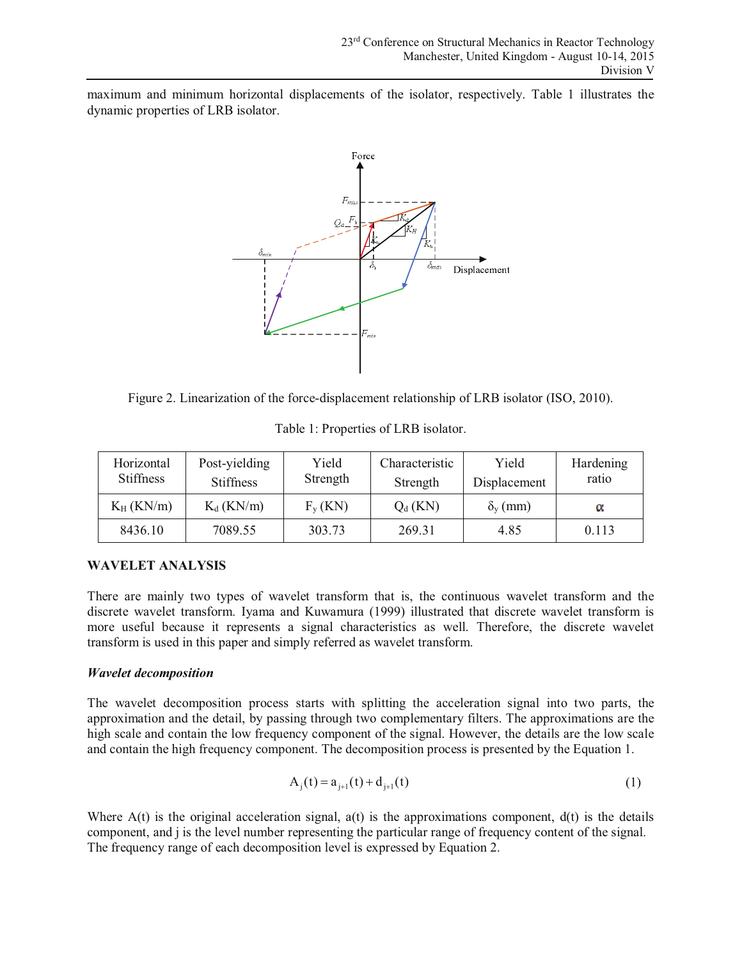maximum and minimum horizontal displacements of the isolator, respectively. Table 1 illustrates the dynamic properties of LRB isolator.



Figure 2. Linearization of the force-displacement relationship of LRB isolator (ISO, 2010).

| Horizontal<br><b>Stiffness</b> | Post-yielding<br><b>Stiffness</b> | Yield<br>Strength | Characteristic<br>Strength | Yield<br>Displacement | Hardening<br>ratio |
|--------------------------------|-----------------------------------|-------------------|----------------------------|-----------------------|--------------------|
| $K_H$ (KN/m)                   | $K_d$ (KN/m)                      | $F_{v}$ (KN)      | $Q_d$ (KN)                 | $\delta_{\rm v}$ (mm) | α                  |
| 8436.10                        | 7089.55                           | 303.73            | 269.31                     | 4.85                  | 0.113              |

Table 1: Properties of LRB isolator.

# **WAVELET ANALYSIS**

There are mainly two types of wavelet transform that is, the continuous wavelet transform and the discrete wavelet transform. Iyama and Kuwamura (1999) illustrated that discrete wavelet transform is more useful because it represents a signal characteristics as well. Therefore, the discrete wavelet transform is used in this paper and simply referred as wavelet transform.

# *Wavelet decomposition*

The wavelet decomposition process starts with splitting the acceleration signal into two parts, the approximation and the detail, by passing through two complementary filters. The approximations are the high scale and contain the low frequency component of the signal. However, the details are the low scale and contain the high frequency component. The decomposition process is presented by the Equation 1.

$$
A_j(t) = a_{j+1}(t) + d_{j+1}(t)
$$
\n(1)

Where  $A(t)$  is the original acceleration signal,  $a(t)$  is the approximations component,  $d(t)$  is the details component, and j is the level number representing the particular range of frequency content of the signal. The frequency range of each decomposition level is expressed by Equation 2.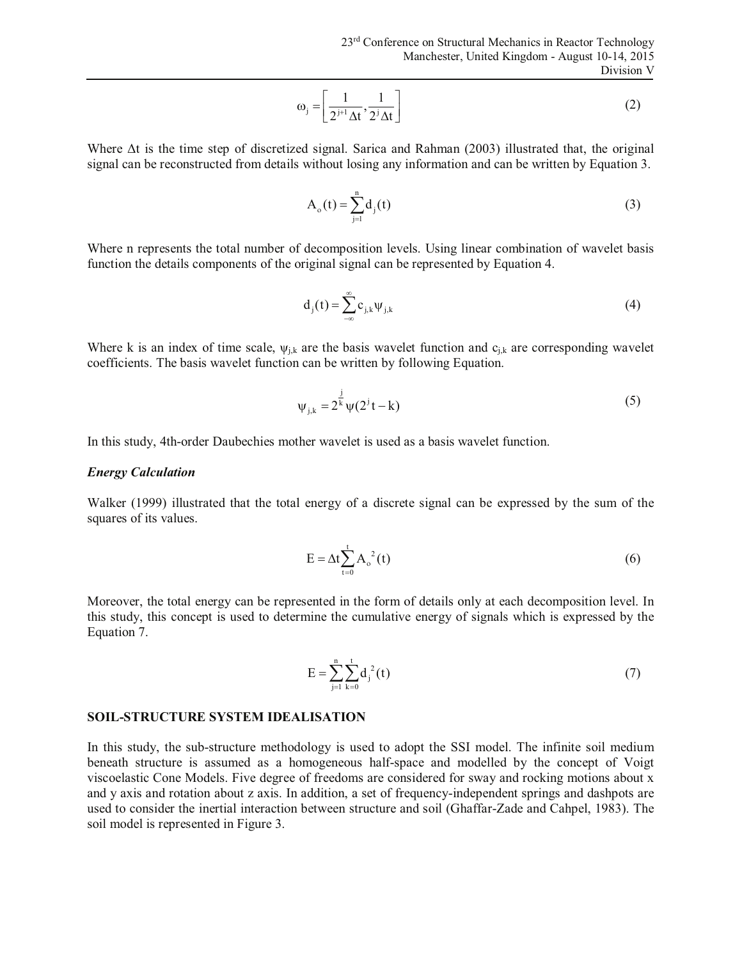$$
\omega_{j} = \left[\frac{1}{2^{j+1}\Delta t}, \frac{1}{2^{j}\Delta t}\right]
$$
 (2)

Where Δt is the time step of discretized signal. Sarica and Rahman (2003) illustrated that, the original signal can be reconstructed from details without losing any information and can be written by Equation 3.

$$
A_o(t) = \sum_{j=1}^{n} d_j(t)
$$
 (3)

Where n represents the total number of decomposition levels. Using linear combination of wavelet basis function the details components of the original signal can be represented by Equation 4.

$$
d_j(t) = \sum_{-\infty}^{\infty} c_{j,k} \Psi_{j,k}
$$
 (4)

Where k is an index of time scale,  $\psi_{i,k}$  are the basis wavelet function and  $c_{i,k}$  are corresponding wavelet coefficients. The basis wavelet function can be written by following Equation.

$$
\psi_{j,k} = 2^{\frac{j}{k}} \psi(2^{j}t - k)
$$
 (5)

In this study, 4th-order Daubechies mother wavelet is used as a basis wavelet function.

#### *Energy Calculation*

Walker (1999) illustrated that the total energy of a discrete signal can be expressed by the sum of the squares of its values.

$$
E = \Delta t \sum_{t=0}^{t} A_o^{2}(t)
$$
 (6)

Moreover, the total energy can be represented in the form of details only at each decomposition level. In this study, this concept is used to determine the cumulative energy of signals which is expressed by the Equation 7.

$$
E = \sum_{j=1}^{n} \sum_{k=0}^{t} d_j^{2}(t)
$$
 (7)

#### **SOIL-STRUCTURE SYSTEM IDEALISATION**

In this study, the sub-structure methodology is used to adopt the SSI model. The infinite soil medium beneath structure is assumed as a homogeneous half-space and modelled by the concept of Voigt viscoelastic Cone Models. Five degree of freedoms are considered for sway and rocking motions about x and y axis and rotation about z axis. In addition, a set of frequency-independent springs and dashpots are used to consider the inertial interaction between structure and soil (Ghaffar-Zade and Cahpel, 1983). The soil model is represented in Figure 3.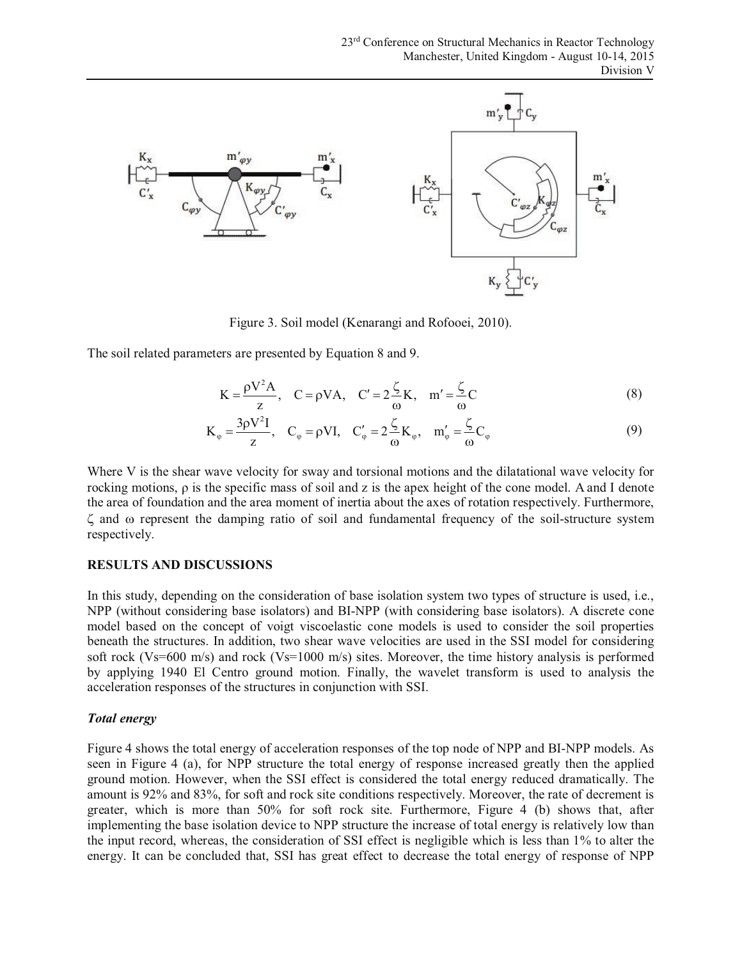

Figure 3. Soil model (Kenarangi and Rofooei, 2010).

The soil related parameters are presented by Equation 8 and 9.

$$
K = \frac{\rho V^2 A}{z}, \quad C = \rho V A, \quad C' = 2\frac{\zeta}{\omega} K, \quad m' = \frac{\zeta}{\omega} C
$$
 (8)

$$
K_{\varphi} = \frac{3\rho V^2 I}{z}, \quad C_{\varphi} = \rho VI, \quad C_{\varphi}' = 2\frac{\zeta}{\omega}K_{\varphi}, \quad m_{\varphi}' = \frac{\zeta}{\omega}C_{\varphi}
$$
(9)

Where V is the shear wave velocity for sway and torsional motions and the dilatational wave velocity for rocking motions, ρ is the specific mass of soil and z is the apex height of the cone model. A and I denote the area of foundation and the area moment of inertia about the axes of rotation respectively. Furthermore, ζ and ω represent the damping ratio of soil and fundamental frequency of the soil-structure system respectively.

### **RESULTS AND DISCUSSIONS**

In this study, depending on the consideration of base isolation system two types of structure is used, i.e., NPP (without considering base isolators) and BI-NPP (with considering base isolators). A discrete cone model based on the concept of voigt viscoelastic cone models is used to consider the soil properties beneath the structures. In addition, two shear wave velocities are used in the SSI model for considering soft rock (Vs=600 m/s) and rock (Vs=1000 m/s) sites. Moreover, the time history analysis is performed by applying 1940 El Centro ground motion. Finally, the wavelet transform is used to analysis the acceleration responses of the structures in conjunction with SSI.

### *Total energy*

Figure 4 shows the total energy of acceleration responses of the top node of NPP and BI-NPP models. As seen in Figure 4 (a), for NPP structure the total energy of response increased greatly then the applied ground motion. However, when the SSI effect is considered the total energy reduced dramatically. The amount is 92% and 83%, for soft and rock site conditions respectively. Moreover, the rate of decrement is greater, which is more than 50% for soft rock site. Furthermore, Figure 4 (b) shows that, after implementing the base isolation device to NPP structure the increase of total energy is relatively low than the input record, whereas, the consideration of SSI effect is negligible which is less than 1% to alter the energy. It can be concluded that, SSI has great effect to decrease the total energy of response of NPP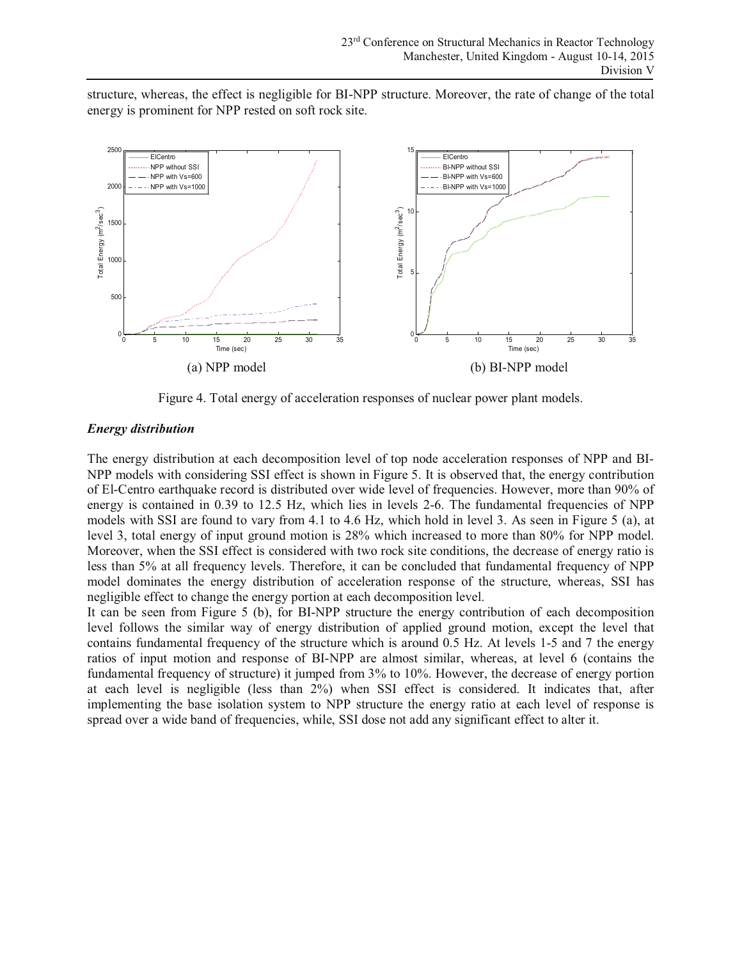structure, whereas, the effect is negligible for BI-NPP structure. Moreover, the rate of change of the total energy is prominent for NPP rested on soft rock site.



Figure 4. Total energy of acceleration responses of nuclear power plant models.

## *Energy distribution*

The energy distribution at each decomposition level of top node acceleration responses of NPP and BI-NPP models with considering SSI effect is shown in Figure 5. It is observed that, the energy contribution of El-Centro earthquake record is distributed over wide level of frequencies. However, more than 90% of energy is contained in 0.39 to 12.5 Hz, which lies in levels 2-6. The fundamental frequencies of NPP models with SSI are found to vary from 4.1 to 4.6 Hz, which hold in level 3. As seen in Figure 5 (a), at level 3, total energy of input ground motion is 28% which increased to more than 80% for NPP model. Moreover, when the SSI effect is considered with two rock site conditions, the decrease of energy ratio is less than 5% at all frequency levels. Therefore, it can be concluded that fundamental frequency of NPP model dominates the energy distribution of acceleration response of the structure, whereas, SSI has negligible effect to change the energy portion at each decomposition level.

It can be seen from Figure 5 (b), for BI-NPP structure the energy contribution of each decomposition level follows the similar way of energy distribution of applied ground motion, except the level that contains fundamental frequency of the structure which is around 0.5 Hz. At levels 1-5 and 7 the energy ratios of input motion and response of BI-NPP are almost similar, whereas, at level 6 (contains the fundamental frequency of structure) it jumped from 3% to 10%. However, the decrease of energy portion at each level is negligible (less than 2%) when SSI effect is considered. It indicates that, after implementing the base isolation system to NPP structure the energy ratio at each level of response is spread over a wide band of frequencies, while, SSI dose not add any significant effect to alter it.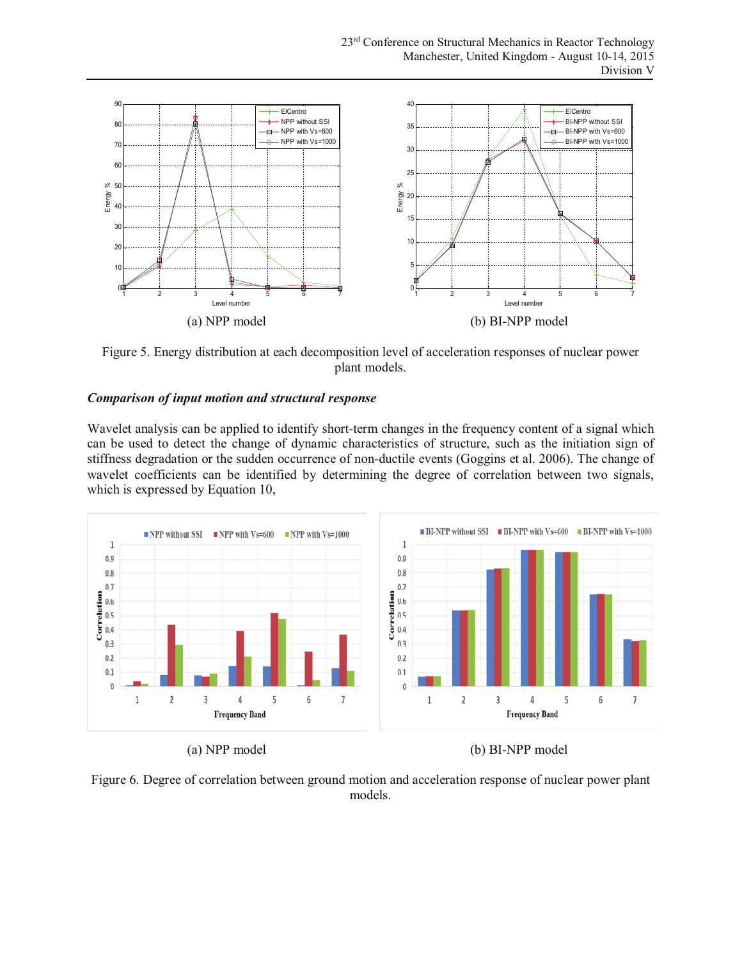

Figure 5. Energy distribution at each decomposition level of acceleration responses of nuclear power plant models.

## *Comparison of input motion and structural response*

Wavelet analysis can be applied to identify short-term changes in the frequency content of a signal which can be used to detect the change of dynamic characteristics of structure, such as the initiation sign of stiffness degradation or the sudden occurrence of non-ductile events (Goggins et al. 2006). The change of wavelet coefficients can be identified by determining the degree of correlation between two signals, which is expressed by Equation 10,



(a) NPP model (b) BI-NPP model

Figure 6. Degree of correlation between ground motion and acceleration response of nuclear power plant models.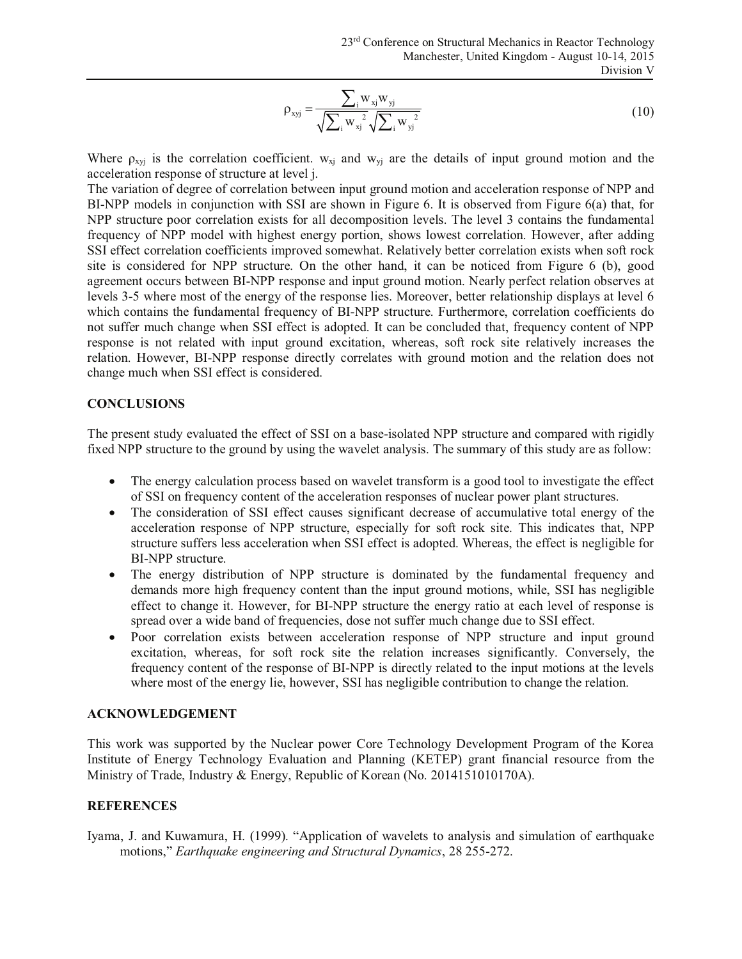$$
\rho_{xyj} = \frac{\sum_{i} w_{xj} w_{yj}}{\sqrt{\sum_{i} w_{xj}^{2}} \sqrt{\sum_{i} w_{yj}^{2}}}
$$
\n(10)

Where  $\rho_{xyj}$  is the correlation coefficient.  $w_{xj}$  and  $w_{yj}$  are the details of input ground motion and the acceleration response of structure at level j.

The variation of degree of correlation between input ground motion and acceleration response of NPP and BI-NPP models in conjunction with SSI are shown in Figure 6. It is observed from Figure 6(a) that, for NPP structure poor correlation exists for all decomposition levels. The level 3 contains the fundamental frequency of NPP model with highest energy portion, shows lowest correlation. However, after adding SSI effect correlation coefficients improved somewhat. Relatively better correlation exists when soft rock site is considered for NPP structure. On the other hand, it can be noticed from Figure 6 (b), good agreement occurs between BI-NPP response and input ground motion. Nearly perfect relation observes at levels 3-5 where most of the energy of the response lies. Moreover, better relationship displays at level 6 which contains the fundamental frequency of BI-NPP structure. Furthermore, correlation coefficients do not suffer much change when SSI effect is adopted. It can be concluded that, frequency content of NPP response is not related with input ground excitation, whereas, soft rock site relatively increases the relation. However, BI-NPP response directly correlates with ground motion and the relation does not change much when SSI effect is considered.

### **CONCLUSIONS**

The present study evaluated the effect of SSI on a base-isolated NPP structure and compared with rigidly fixed NPP structure to the ground by using the wavelet analysis. The summary of this study are as follow:

- The energy calculation process based on wavelet transform is a good tool to investigate the effect of SSI on frequency content of the acceleration responses of nuclear power plant structures.
- The consideration of SSI effect causes significant decrease of accumulative total energy of the acceleration response of NPP structure, especially for soft rock site. This indicates that, NPP structure suffers less acceleration when SSI effect is adopted. Whereas, the effect is negligible for BI-NPP structure.
- The energy distribution of NPP structure is dominated by the fundamental frequency and demands more high frequency content than the input ground motions, while, SSI has negligible effect to change it. However, for BI-NPP structure the energy ratio at each level of response is spread over a wide band of frequencies, dose not suffer much change due to SSI effect.
- Poor correlation exists between acceleration response of NPP structure and input ground excitation, whereas, for soft rock site the relation increases significantly. Conversely, the frequency content of the response of BI-NPP is directly related to the input motions at the levels where most of the energy lie, however, SSI has negligible contribution to change the relation.

### **ACKNOWLEDGEMENT**

This work was supported by the Nuclear power Core Technology Development Program of the Korea Institute of Energy Technology Evaluation and Planning (KETEP) grant financial resource from the Ministry of Trade, Industry & Energy, Republic of Korean (No. 2014151010170A).

### **REFERENCES**

Iyama, J. and Kuwamura, H. (1999). "Application of wavelets to analysis and simulation of earthquake motions," *Earthquake engineering and Structural Dynamics*, 28 255-272.